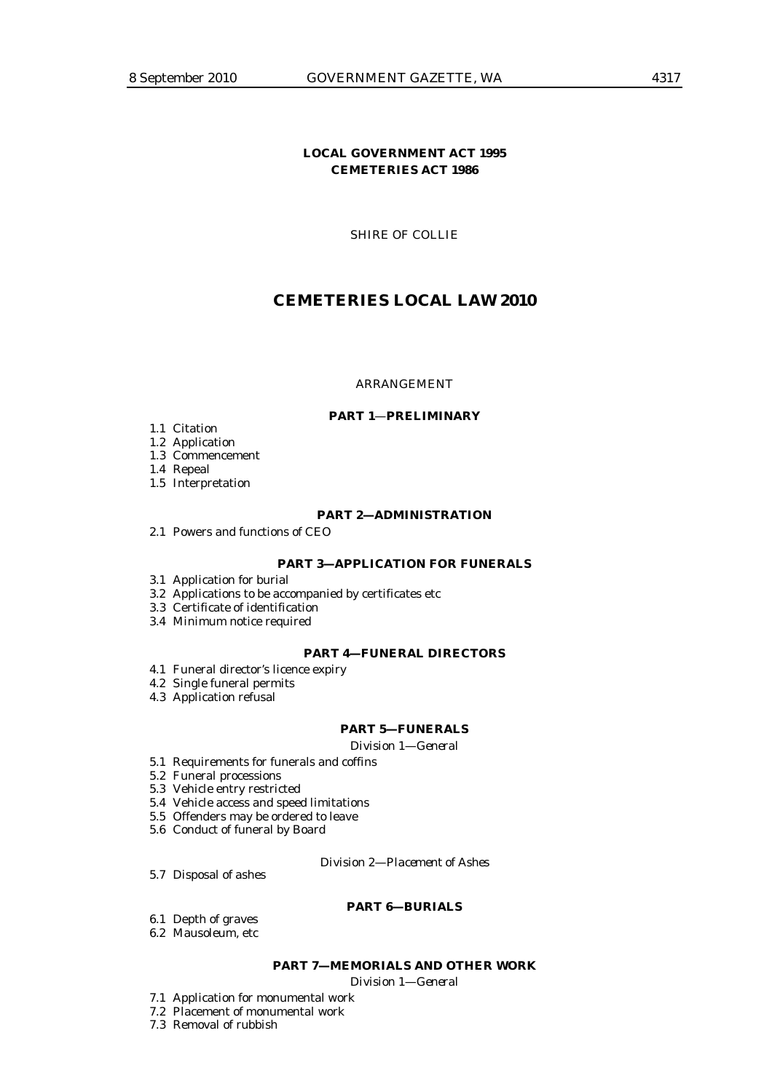## **LOCAL GOVERNMENT ACT 1995 CEMETERIES ACT 1986**

SHIRE OF COLLIE

# **CEMETERIES LOCAL LAW 2010**

#### ARRANGEMENT

#### **PART 1**—**PRELIMINARY**

- 1.1 Citation
- 1.2 Application
- 1.3 Commencement

1.4 Repeal

1.5 Interpretation

#### **PART 2—ADMINISTRATION**

2.1 Powers and functions of CEO

### **PART 3—APPLICATION FOR FUNERALS**

- 3.1 Application for burial
- 3.2 Applications to be accompanied by certificates etc
- 3.3 Certificate of identification
- 3.4 Minimum notice required

#### **PART 4—FUNERAL DIRECTORS**

- 4.1 Funeral director's licence expiry
- 4.2 Single funeral permits
- 4.3 Application refusal

## **PART 5—FUNERALS**

*Division 1—General* 

- 5.1 Requirements for funerals and coffins
- 5.2 Funeral processions
- 5.3 Vehicle entry restricted
- 5.4 Vehicle access and speed limitations
- 5.5 Offenders may be ordered to leave
- 5.6 Conduct of funeral by Board

*Division 2—Placement of Ashes* 

5.7 Disposal of ashes

#### **PART 6—BURIALS**

- 6.1 Depth of graves
- 6.2 Mausoleum, etc

## **PART 7—MEMORIALS AND OTHER WORK**

*Division 1—General* 

- 7.1 Application for monumental work
- 7.2 Placement of monumental work
- 7.3 Removal of rubbish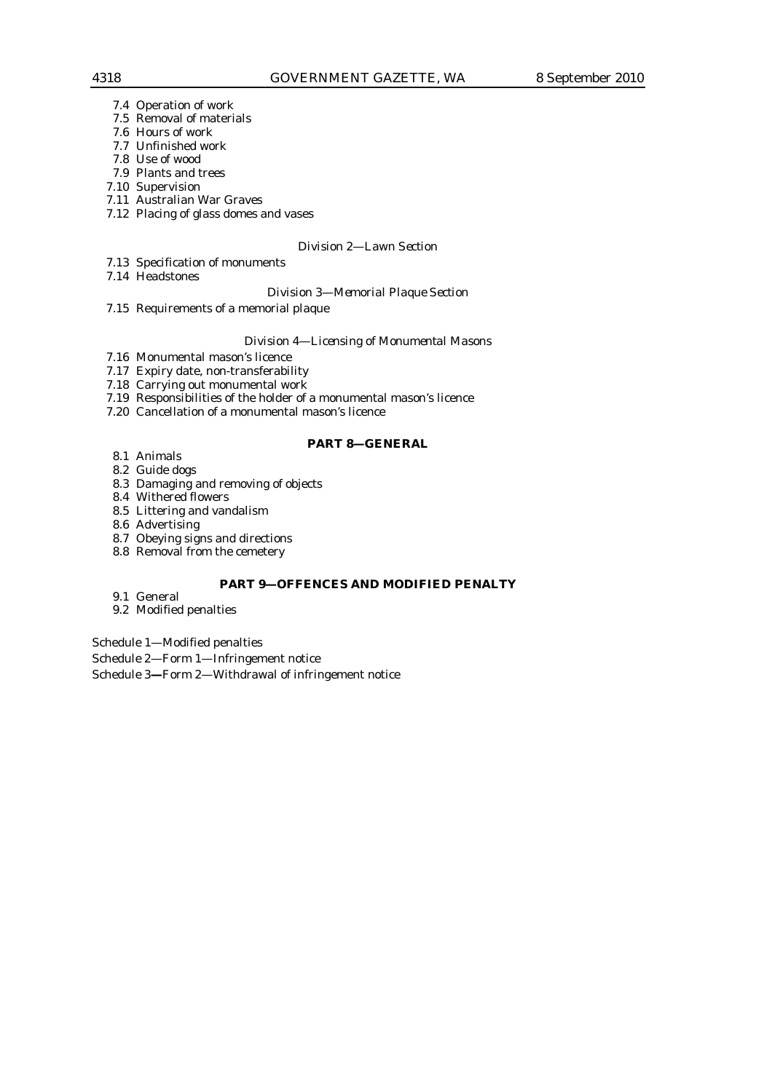- 7.4 Operation of work
- 7.5 Removal of materials
- 7.6 Hours of work
- 7.7 Unfinished work
- 7.8 Use of wood
- 7.9 Plants and trees 7.10 Supervision
- 7.11 Australian War Graves
- 7.12 Placing of glass domes and vases
- 

## *Division 2—Lawn Section*

- 7.13 Specification of monuments
- 7.14 Headstones

*Division 3—Memorial Plaque Section* 

7.15 Requirements of a memorial plaque

#### *Division 4—Licensing of Monumental Masons*

- 7.16 Monumental mason's licence
- 7.17 Expiry date, non-transferability
- 7.18 Carrying out monumental work
- 7.19 Responsibilities of the holder of a monumental mason's licence
- 7.20 Cancellation of a monumental mason's licence

#### **PART 8—GENERAL**

- 8.1 Animals
- 8.2 Guide dogs
- 8.3 Damaging and removing of objects
- 8.4 Withered flowers
- 8.5 Littering and vandalism
- 8.6 Advertising
- 8.7 Obeying signs and directions
- 8.8 Removal from the cemetery

## **PART 9—OFFENCES AND MODIFIED PENALTY**

9.1 General

#### 9.2 Modified penalties

Schedule 1—Modified penalties

Schedule 2—Form 1—Infringement notice

Schedule 3**—**Form 2—Withdrawal of infringement notice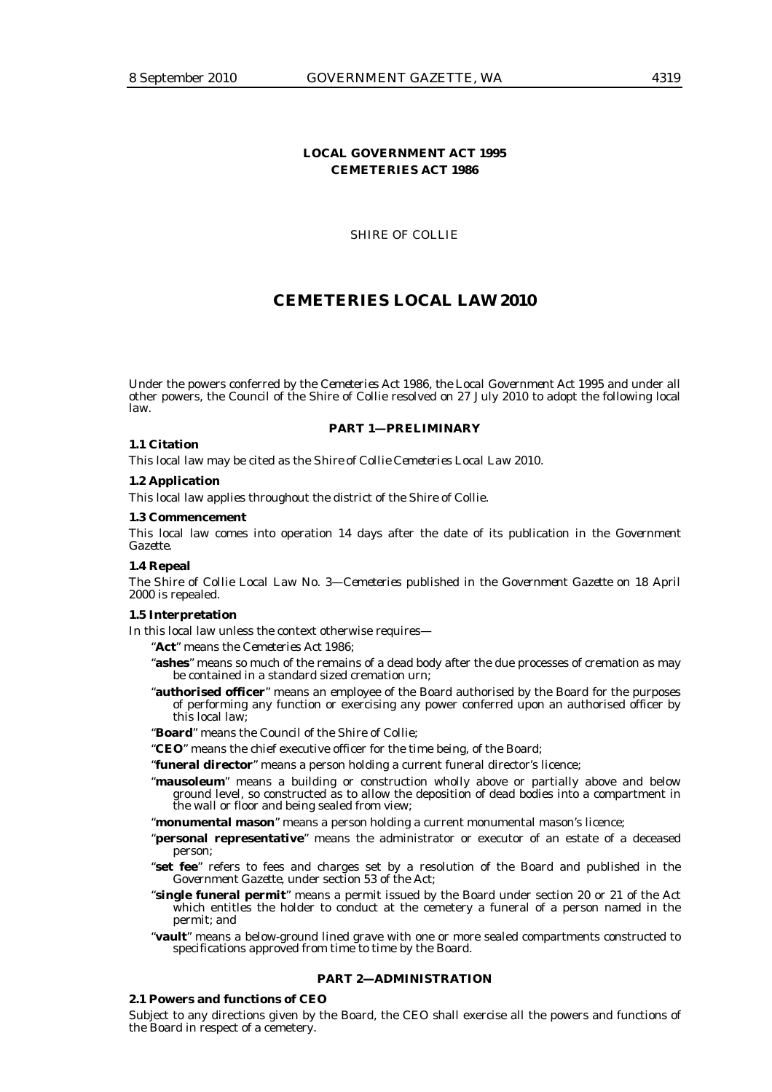## **LOCAL GOVERNMENT ACT 1995 CEMETERIES ACT 1986**

SHIRE OF COLLIE

## **CEMETERIES LOCAL LAW 2010**

Under the powers conferred by the *Cemeteries Act 1986, the Local Government Act 1995* and under all other powers, the Council of the Shire of Collie resolved on 27 July 2010 to adopt the following local law.

#### **PART 1—PRELIMINARY**

#### **1.1 Citation**

This local law may be cited as the *Shire of Collie Cemeteries Local Law 2010.*

## **1.2 Application**

This local law applies throughout the district of the Shire of Collie.

#### **1.3 Commencement**

This local law comes into operation 14 days after the date of its publication in the *Government Gazette*.

#### **1.4 Repeal**

*The Shire of Collie Local Law No. 3—Cemeteries* published in the *Government Gazette* on 18 April 2000 is repealed.

## **1.5 Interpretation**

In this local law unless the context otherwise requires—

"**Act**" means the *Cemeteries Act 1986*;

- "**ashes**" means so much of the remains of a dead body after the due processes of cremation as may be contained in a standard sized cremation urn;
- "**authorised officer**" means an employee of the Board authorised by the Board for the purposes of performing any function or exercising any power conferred upon an authorised officer by this local law;
- "**Board**" means the Council of the Shire of Collie;
- "**CEO**" means the chief executive officer for the time being, of the Board;
- "**funeral director**" means a person holding a current funeral director's licence;
- "**mausoleum**" means a building or construction wholly above or partially above and below ground level, so constructed as to allow the deposition of dead bodies into a compartment in the wall or floor and being sealed from view;
- "**monumental mason**" means a person holding a current monumental mason's licence;
- "**personal representative**" means the administrator or executor of an estate of a deceased person;
- "**set fee**" refers to fees and charges set by a resolution of the Board and published in the *Government Gazette*, under section 53 of the Act;
- "**single funeral permit**" means a permit issued by the Board under section 20 or 21 of the Act which entitles the holder to conduct at the cemetery a funeral of a person named in the permit; and
- "**vault**" means a below-ground lined grave with one or more sealed compartments constructed to specifications approved from time to time by the Board.

#### **PART 2—ADMINISTRATION**

#### **2.1 Powers and functions of CEO**

Subject to any directions given by the Board, the CEO shall exercise all the powers and functions of the Board in respect of a cemetery.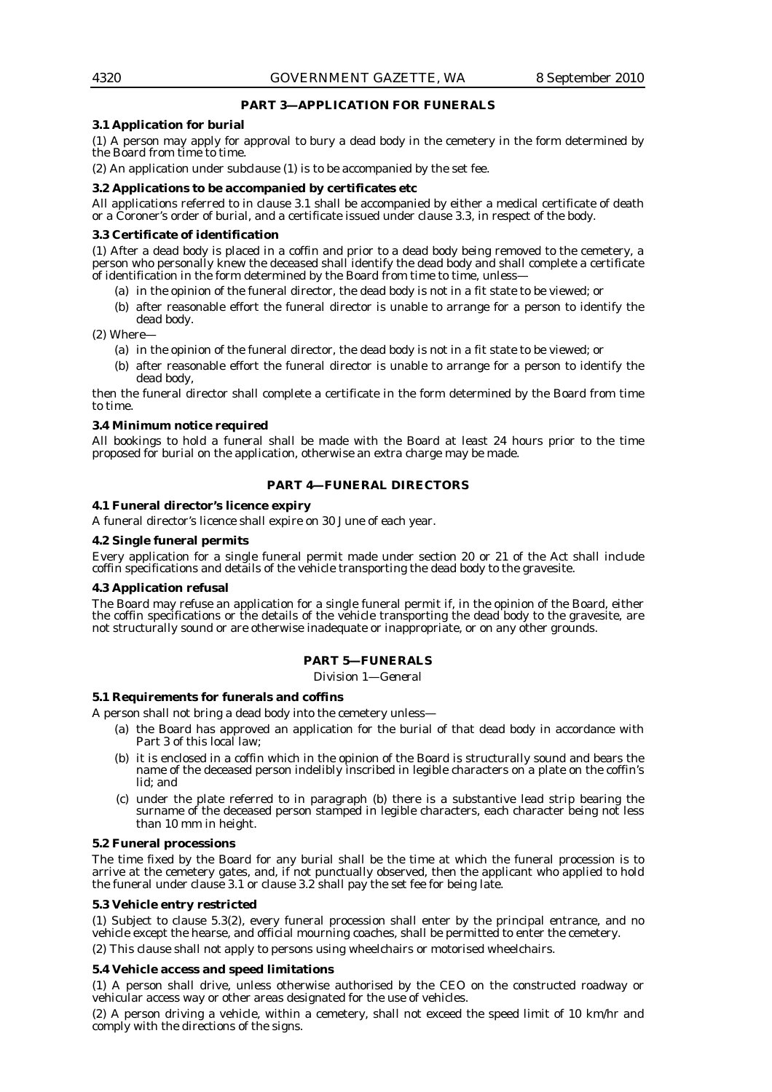## **PART 3—APPLICATION FOR FUNERALS**

### **3.1 Application for burial**

(1) A person may apply for approval to bury a dead body in the cemetery in the form determined by the Board from time to time.

(2) An application under subclause (1) is to be accompanied by the set fee.

## **3.2 Applications to be accompanied by certificates etc**

All applications referred to in clause 3.1 shall be accompanied by either a medical certificate of death or a Coroner's order of burial, and a certificate issued under clause 3.3, in respect of the body.

## **3.3 Certificate of identification**

(1) After a dead body is placed in a coffin and prior to a dead body being removed to the cemetery, a person who personally knew the deceased shall identify the dead body and shall complete a certificate of identification in the form determined by the Board from time to time, unless—

- (a) in the opinion of the funeral director, the dead body is not in a fit state to be viewed; or
- (b) after reasonable effort the funeral director is unable to arrange for a person to identify the dead body.

(2) Where—

- (a) in the opinion of the funeral director, the dead body is not in a fit state to be viewed; or
- (b) after reasonable effort the funeral director is unable to arrange for a person to identify the dead body,

then the funeral director shall complete a certificate in the form determined by the Board from time to time.

## **3.4 Minimum notice required**

All bookings to hold a funeral shall be made with the Board at least 24 hours prior to the time proposed for burial on the application, otherwise an extra charge may be made.

## **PART 4—FUNERAL DIRECTORS**

## **4.1 Funeral director's licence expiry**

A funeral director's licence shall expire on 30 June of each year.

## **4.2 Single funeral permits**

Every application for a single funeral permit made under section 20 or 21 of the Act shall include coffin specifications and details of the vehicle transporting the dead body to the gravesite.

## **4.3 Application refusal**

The Board may refuse an application for a single funeral permit if, in the opinion of the Board, either the coffin specifications or the details of the vehicle transporting the dead body to the gravesite, are not structurally sound or are otherwise inadequate or inappropriate, or on any other grounds.

## **PART 5—FUNERALS**

*Division 1—General* 

#### **5.1 Requirements for funerals and coffins**

A person shall not bring a dead body into the cemetery unless—

- (a) the Board has approved an application for the burial of that dead body in accordance with Part 3 of this local law;
- (b) it is enclosed in a coffin which in the opinion of the Board is structurally sound and bears the name of the deceased person indelibly inscribed in legible characters on a plate on the coffin's lid; and
- (c) under the plate referred to in paragraph (b) there is a substantive lead strip bearing the surname of the deceased person stamped in legible characters, each character being not less than 10 mm in height.

## **5.2 Funeral processions**

The time fixed by the Board for any burial shall be the time at which the funeral procession is to arrive at the cemetery gates, and, if not punctually observed, then the applicant who applied to hold the funeral under clause 3.1 or clause 3.2 shall pay the set fee for being late.

## **5.3 Vehicle entry restricted**

(1) Subject to clause 5.3(2), every funeral procession shall enter by the principal entrance, and no vehicle except the hearse, and official mourning coaches, shall be permitted to enter the cemetery.

(2) This clause shall not apply to persons using wheelchairs or motorised wheelchairs.

## **5.4 Vehicle access and speed limitations**

(1) A person shall drive, unless otherwise authorised by the CEO on the constructed roadway or vehicular access way or other areas designated for the use of vehicles.

(2) A person driving a vehicle, within a cemetery, shall not exceed the speed limit of 10 km/hr and comply with the directions of the signs.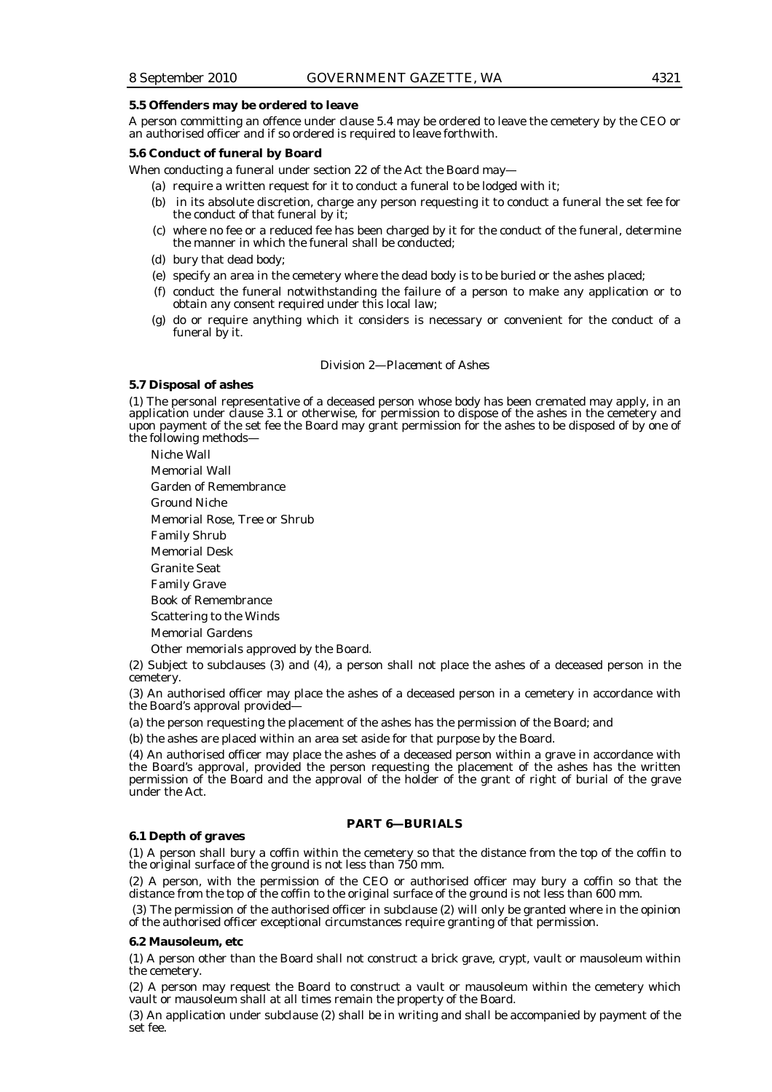#### **5.5 Offenders may be ordered to leave**

A person committing an offence under clause 5.4 may be ordered to leave the cemetery by the CEO or an authorised officer and if so ordered is required to leave forthwith.

## **5.6 Conduct of funeral by Board**

When conducting a funeral under section 22 of the Act the Board may—

- (a) require a written request for it to conduct a funeral to be lodged with it;
- (b) in its absolute discretion, charge any person requesting it to conduct a funeral the set fee for the conduct of that funeral by it;
- (c) where no fee or a reduced fee has been charged by it for the conduct of the funeral, determine the manner in which the funeral shall be conducted;
- (d) bury that dead body;
- (e) specify an area in the cemetery where the dead body is to be buried or the ashes placed;
- (f) conduct the funeral notwithstanding the failure of a person to make any application or to obtain any consent required under this local law;
- (g) do or require anything which it considers is necessary or convenient for the conduct of a funeral by it.

#### *Division 2—Placement of Ashes*

#### **5.7 Disposal of ashes**

(1) The personal representative of a deceased person whose body has been cremated may apply, in an application under clause 3.1 or otherwise, for permission to dispose of the ashes in the cemetery and upon payment of the set fee the Board may grant permission for the ashes to be disposed of by one of the following methods—

Niche Wall Memorial Wall Garden of Remembrance Ground Niche Memorial Rose, Tree or Shrub Family Shrub Memorial Desk Granite Seat Family Grave Book of Remembrance Scattering to the Winds Memorial Gardens Other memorials approved by the Board.

(2) Subject to subclauses (3) and (4), a person shall not place the ashes of a deceased person in the cemetery.

(3) An authorised officer may place the ashes of a deceased person in a cemetery in accordance with the Board's approval provided-

(a) the person requesting the placement of the ashes has the permission of the Board; and

(b) the ashes are placed within an area set aside for that purpose by the Board.

(4) An authorised officer may place the ashes of a deceased person within a grave in accordance with the Board's approval, provided the person requesting the placement of the ashes has the written permission of the Board and the approval of the holder of the grant of right of burial of the grave under the Act.

## **PART 6—BURIALS**

#### **6.1 Depth of graves**

(1) A person shall bury a coffin within the cemetery so that the distance from the top of the coffin to the original surface of the ground is not less than 750 mm.

(2) A person, with the permission of the CEO or authorised officer may bury a coffin so that the distance from the top of the coffin to the original surface of the ground is not less than 600 mm.

 (3) The permission of the authorised officer in subclause (2) will only be granted where in the opinion of the authorised officer exceptional circumstances require granting of that permission.

#### **6.2 Mausoleum, etc**

(1) A person other than the Board shall not construct a brick grave, crypt, vault or mausoleum within the cemetery.

(2) A person may request the Board to construct a vault or mausoleum within the cemetery which vault or mausoleum shall at all times remain the property of the Board.

(3) An application under subclause (2) shall be in writing and shall be accompanied by payment of the set fee.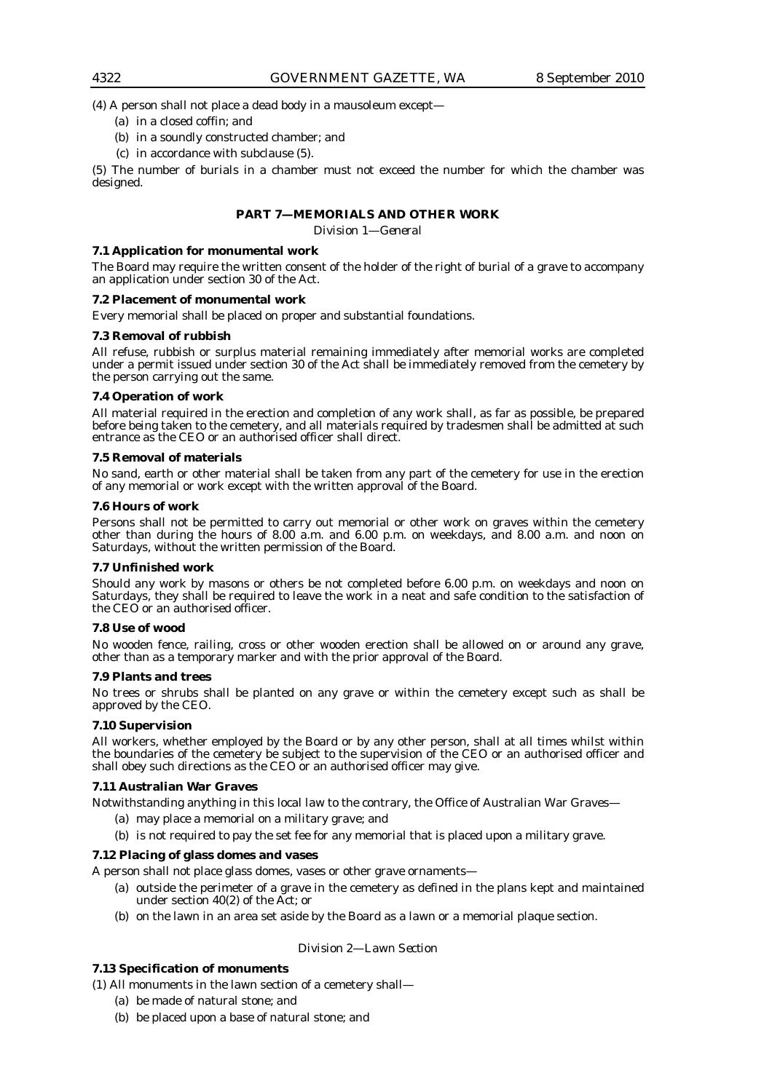(4) A person shall not place a dead body in a mausoleum except—

- (a) in a closed coffin; and
- (b) in a soundly constructed chamber; and
- (c) in accordance with subclause (5).

(5) The number of burials in a chamber must not exceed the number for which the chamber was designed.

## **PART 7—MEMORIALS AND OTHER WORK**

*Division 1—General* 

## **7.1 Application for monumental work**

The Board may require the written consent of the holder of the right of burial of a grave to accompany an application under section 30 of the Act.

#### **7.2 Placement of monumental work**

Every memorial shall be placed on proper and substantial foundations.

#### **7.3 Removal of rubbish**

All refuse, rubbish or surplus material remaining immediately after memorial works are completed under a permit issued under section 30 of the Act shall be immediately removed from the cemetery by the person carrying out the same.

## **7.4 Operation of work**

All material required in the erection and completion of any work shall, as far as possible, be prepared before being taken to the cemetery, and all materials required by tradesmen shall be admitted at such entrance as the CEO or an authorised officer shall direct.

#### **7.5 Removal of materials**

No sand, earth or other material shall be taken from any part of the cemetery for use in the erection of any memorial or work except with the written approval of the Board.

## **7.6 Hours of work**

Persons shall not be permitted to carry out memorial or other work on graves within the cemetery other than during the hours of 8.00 a.m. and 6.00 p.m. on weekdays, and 8.00 a.m. and noon on Saturdays, without the written permission of the Board.

## **7.7 Unfinished work**

Should any work by masons or others be not completed before 6.00 p.m. on weekdays and noon on Saturdays, they shall be required to leave the work in a neat and safe condition to the satisfaction of the CEO or an authorised officer.

#### **7.8 Use of wood**

No wooden fence, railing, cross or other wooden erection shall be allowed on or around any grave, other than as a temporary marker and with the prior approval of the Board.

#### **7.9 Plants and trees**

No trees or shrubs shall be planted on any grave or within the cemetery except such as shall be approved by the CEO.

## **7.10 Supervision**

All workers, whether employed by the Board or by any other person, shall at all times whilst within the boundaries of the cemetery be subject to the supervision of the CEO or an authorised officer and shall obey such directions as the CEO or an authorised officer may give.

## **7.11 Australian War Graves**

Notwithstanding anything in this local law to the contrary, the Office of Australian War Graves—

- (a) may place a memorial on a military grave; and
	- (b) is not required to pay the set fee for any memorial that is placed upon a military grave.

## **7.12 Placing of glass domes and vases**

A person shall not place glass domes, vases or other grave ornaments—

- (a) outside the perimeter of a grave in the cemetery as defined in the plans kept and maintained under section 40(2) of the Act; or
- (b) on the lawn in an area set aside by the Board as a lawn or a memorial plaque section.

## *Division 2—Lawn Section*

## **7.13 Specification of monuments**

(1) All monuments in the lawn section of a cemetery shall—

- (a) be made of natural stone; and
- (b) be placed upon a base of natural stone; and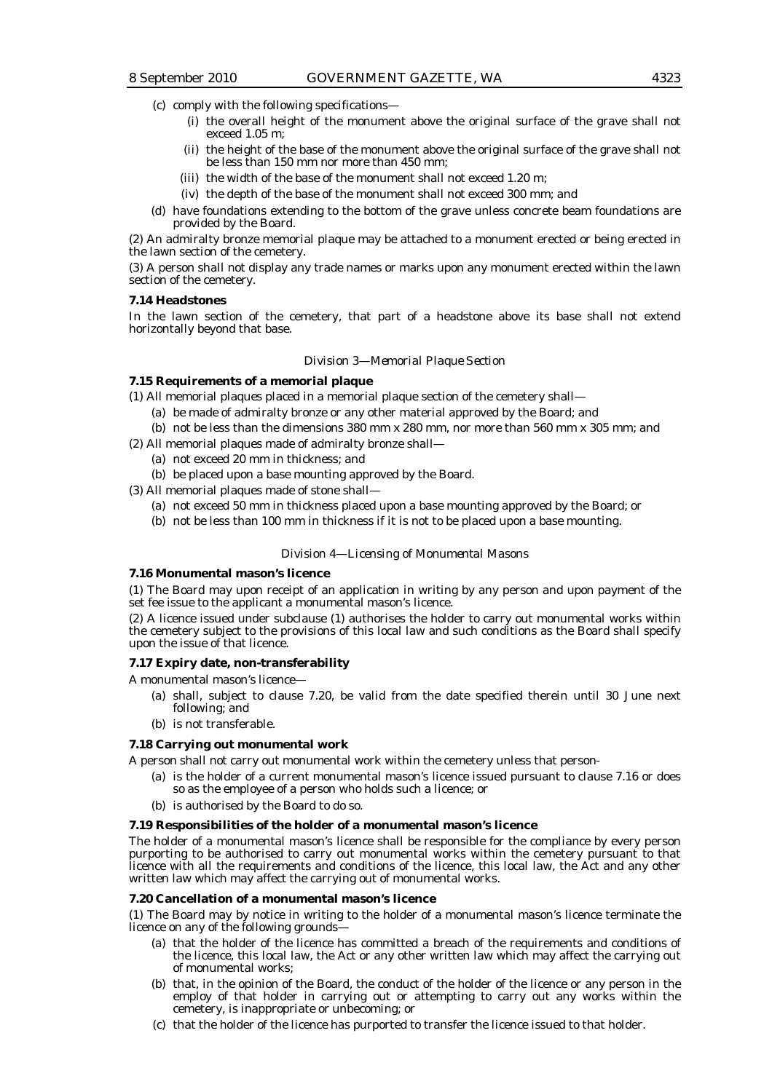- (c) comply with the following specifications—
	- (i) the overall height of the monument above the original surface of the grave shall not exceed 1.05 m;
	- (ii) the height of the base of the monument above the original surface of the grave shall not be less than 150 mm nor more than 450 mm;
	- (iii) the width of the base of the monument shall not exceed 1.20 m;
	- (iv) the depth of the base of the monument shall not exceed 300 mm; and
- (d) have foundations extending to the bottom of the grave unless concrete beam foundations are provided by the Board.

(2) An admiralty bronze memorial plaque may be attached to a monument erected or being erected in the lawn section of the cemetery.

(3) A person shall not display any trade names or marks upon any monument erected within the lawn section of the cemetery.

#### **7.14 Headstones**

In the lawn section of the cemetery, that part of a headstone above its base shall not extend horizontally beyond that base.

#### *Division 3—Memorial Plaque Section*

### **7.15 Requirements of a memorial plaque**

(1) All memorial plaques placed in a memorial plaque section of the cemetery shall—

- (a) be made of admiralty bronze or any other material approved by the Board; and
- (b) not be less than the dimensions 380 mm x 280 mm, nor more than 560 mm x 305 mm; and
- (2) All memorial plaques made of admiralty bronze shall—
	- (a) not exceed 20 mm in thickness; and
	- (b) be placed upon a base mounting approved by the Board.

(3) All memorial plaques made of stone shall—

- (a) not exceed 50 mm in thickness placed upon a base mounting approved by the Board; or
- (b) not be less than 100 mm in thickness if it is not to be placed upon a base mounting.

#### *Division 4—Licensing of Monumental Masons*

#### **7.16 Monumental mason's licence**

(1) The Board may upon receipt of an application in writing by any person and upon payment of the set fee issue to the applicant a monumental mason's licence.

(2) A licence issued under subclause (1) authorises the holder to carry out monumental works within the cemetery subject to the provisions of this local law and such conditions as the Board shall specify upon the issue of that licence.

## **7.17 Expiry date, non-transferability**

A monumental mason's licence—

- (a) shall, subject to clause 7.20, be valid from the date specified therein until 30 June next following; and
- (b) is not transferable.

#### **7.18 Carrying out monumental work**

A person shall not carry out monumental work within the cemetery unless that person-

- (a) is the holder of a current monumental mason's licence issued pursuant to clause 7.16 or does so as the employee of a person who holds such a licence; or
- (b) is authorised by the Board to do so.

#### **7.19 Responsibilities of the holder of a monumental mason's licence**

The holder of a monumental mason's licence shall be responsible for the compliance by every person purporting to be authorised to carry out monumental works within the cemetery pursuant to that licence with all the requirements and conditions of the licence, this local law, the Act and any other written law which may affect the carrying out of monumental works.

#### **7.20 Cancellation of a monumental mason's licence**

(1) The Board may by notice in writing to the holder of a monumental mason's licence terminate the licence on any of the following grounds—

- (a) that the holder of the licence has committed a breach of the requirements and conditions of the licence, this local law, the Act or any other written law which may affect the carrying out of monumental works;
- (b) that, in the opinion of the Board, the conduct of the holder of the licence or any person in the employ of that holder in carrying out or attempting to carry out any works within the cemetery, is inappropriate or unbecoming; or
- (c) that the holder of the licence has purported to transfer the licence issued to that holder.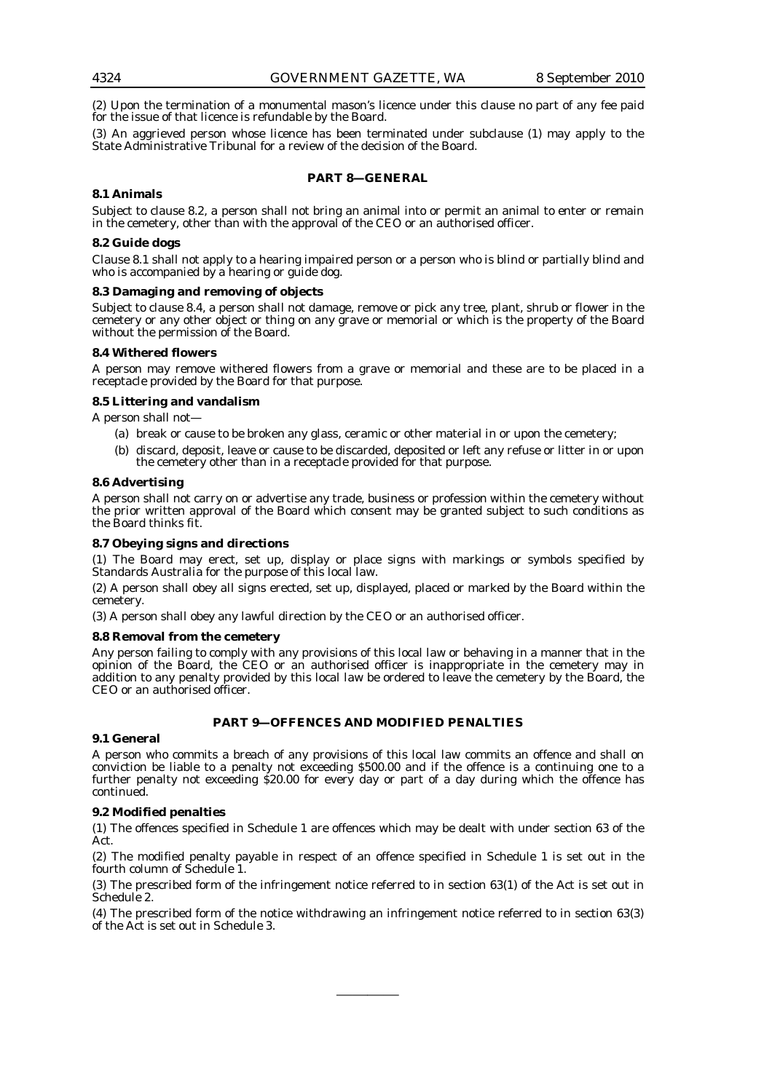(2) Upon the termination of a monumental mason's licence under this clause no part of any fee paid for the issue of that licence is refundable by the Board.

(3) An aggrieved person whose licence has been terminated under subclause (1) may apply to the State Administrative Tribunal for a review of the decision of the Board.

## **PART 8—GENERAL**

## **8.1 Animals**

Subject to clause 8.2, a person shall not bring an animal into or permit an animal to enter or remain in the cemetery, other than with the approval of the CEO or an authorised officer.

## **8.2 Guide dogs**

Clause 8.1 shall not apply to a hearing impaired person or a person who is blind or partially blind and who is accompanied by a hearing or guide dog.

#### **8.3 Damaging and removing of objects**

Subject to clause 8.4, a person shall not damage, remove or pick any tree, plant, shrub or flower in the cemetery or any other object or thing on any grave or memorial or which is the property of the Board without the permission of the Board.

#### **8.4 Withered flowers**

A person may remove withered flowers from a grave or memorial and these are to be placed in a receptacle provided by the Board for that purpose.

#### **8.5 Littering and vandalism**

A person shall not—

- (a) break or cause to be broken any glass, ceramic or other material in or upon the cemetery;
- (b) discard, deposit, leave or cause to be discarded, deposited or left any refuse or litter in or upon the cemetery other than in a receptacle provided for that purpose.

#### **8.6 Advertising**

A person shall not carry on or advertise any trade, business or profession within the cemetery without the prior written approval of the Board which consent may be granted subject to such conditions as the Board thinks fit.

#### **8.7 Obeying signs and directions**

(1) The Board may erect, set up, display or place signs with markings or symbols specified by Standards Australia for the purpose of this local law.

(2) A person shall obey all signs erected, set up, displayed, placed or marked by the Board within the cemetery.

(3) A person shall obey any lawful direction by the CEO or an authorised officer.

## **8.8 Removal from the cemetery**

Any person failing to comply with any provisions of this local law or behaving in a manner that in the opinion of the Board, the CEO or an authorised officer is inappropriate in the cemetery may in addition to any penalty provided by this local law be ordered to leave the cemetery by the Board, the CEO or an authorised officer.

## **PART 9—OFFENCES AND MODIFIED PENALTIES**

## **9.1 General**

A person who commits a breach of any provisions of this local law commits an offence and shall on conviction be liable to a penalty not exceeding \$500.00 and if the offence is a continuing one to a further penalty not exceeding \$20.00 for every day or part of a day during which the offence has continued.

## **9.2 Modified penalties**

(1) The offences specified in Schedule 1 are offences which may be dealt with under section 63 of the Act.

(2) The modified penalty payable in respect of an offence specified in Schedule 1 is set out in the fourth column of Schedule 1.

(3) The prescribed form of the infringement notice referred to in section 63(1) of the Act is set out in Schedule 2.

(4) The prescribed form of the notice withdrawing an infringement notice referred to in section 63(3) of the Act is set out in Schedule 3.

————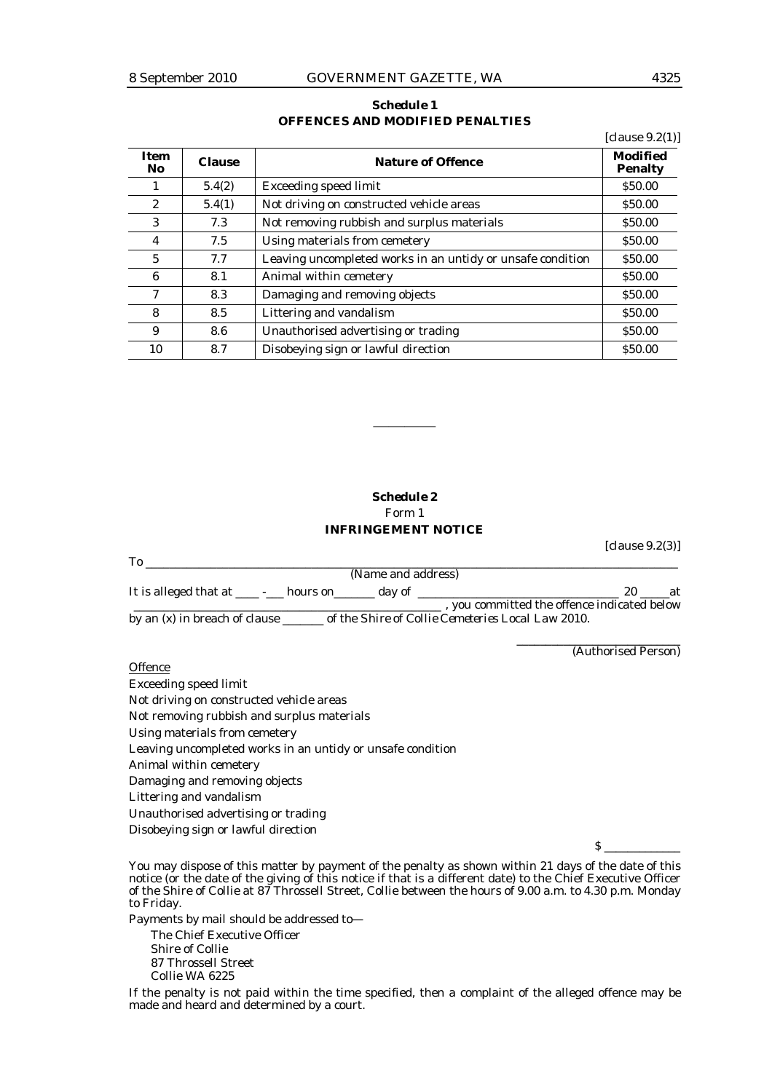## *Schedule 1*  **OFFENCES AND MODIFIED PENALTIES**

|                    |               |                                                            | [clause $9.2(1)$ ]                |
|--------------------|---------------|------------------------------------------------------------|-----------------------------------|
| <b>Item</b><br>No. | <b>Clause</b> | <b>Nature of Offence</b>                                   | <b>Modified</b><br><b>Penalty</b> |
|                    | 5.4(2)        | <b>Exceeding speed limit</b>                               | \$50.00                           |
| $\mathbf{2}$       | 5.4(1)        | Not driving on constructed vehicle areas                   | \$50.00                           |
| 3                  | 7.3           | Not removing rubbish and surplus materials                 | \$50.00                           |
| 4                  | 7.5           | Using materials from cemetery                              | \$50.00                           |
| $\overline{5}$     | 7.7           | Leaving uncompleted works in an untidy or unsafe condition | \$50.00                           |
| 6                  | 8.1           | Animal within cemetery                                     | \$50.00                           |
| 7                  | 8.3           | Damaging and removing objects                              | \$50.00                           |
| 8                  | 8.5           | Littering and vandalism                                    | \$50.00                           |
| 9                  | 8.6           | Unauthorised advertising or trading                        | \$50.00                           |
| 10                 | 8.7           | Disobeying sign or lawful direction                        | \$50.00                           |

## *Schedule 2*  Form 1 **INFRINGEMENT NOTICE**

————

|                                              | (Name and address) |                                           |  |
|----------------------------------------------|--------------------|-------------------------------------------|--|
| It is alleged that at ______ hours on day of |                    |                                           |  |
|                                              |                    | you committed the offence indicated below |  |
|                                              |                    |                                           |  |

by an (x) in breach of clause \_\_\_\_\_\_\_ of the *Shire of Collie Cemeteries Local Law 2010*.

### **Offence**

Exceeding speed limit Not driving on constructed vehicle areas Not removing rubbish and surplus materials Using materials from cemetery Leaving uncompleted works in an untidy or unsafe condition Animal within cemetery Damaging and removing objects Littering and vandalism Unauthorised advertising or trading Disobeying sign or lawful direction

 $\mathbf S$ 

[clause 9.2(3)]

\_\_\_\_\_\_\_\_\_\_\_\_\_\_\_\_\_\_\_\_\_\_\_\_\_\_\_\_

(Authorised Person)

You may dispose of this matter by payment of the penalty as shown within 21 days of the date of this notice (or the date of the giving of this notice if that is a different date) to the Chief Executive Officer of the Shire of Collie at 87 Throssell Street, Collie between the hours of 9.00 a.m. to 4.30 p.m. Monday to Friday.

Payments by mail should be addressed to— The Chief Executive Officer Shire of Collie 87 Throssell Street Collie WA 6225

If the penalty is not paid within the time specified, then a complaint of the alleged offence may be made and heard and determined by a court.